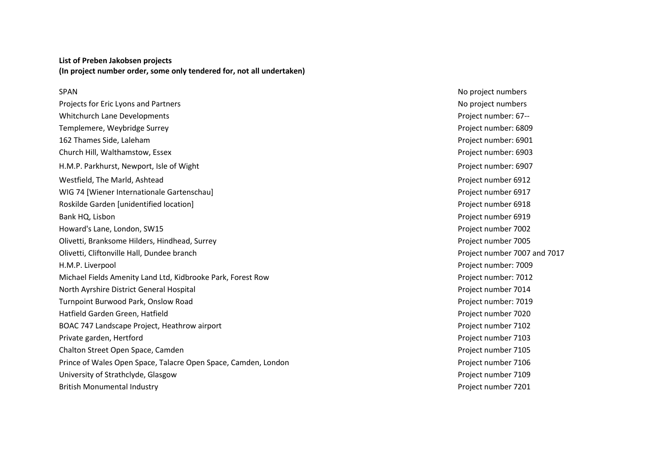## **List of Preben Jakobsen projects (In project number order, some only tendered for, not all undertaken)**

Projects for Eric Lyons and Partners No project numbers No project numbers No project numbers Whitchurch Lane Developments **Project number: 67--** Project number: 67--Templemere, Weybridge Surrey Project number: 6809 162 Thames Side, Laleham **Project number: 6901** Church Hill, Walthamstow, Essex Project number: 6903 H.M.P. Parkhurst, Newport, Isle of Wight **Project number: 6907** Project number: 6907 Westfield, The Marld, Ashtead **Project number 6912 Project number 6912** WIG 74 [Wiener Internationale Gartenschau] NIG 74 [Wiener Internationale Gartenschau] Roskilde Garden [unidentified location] **Project number 6918** Project number 6918 Bank HQ, Lisbon Project number 6919 Howard's Lane, London, SW15 Project number 7002 Olivetti, Branksome Hilders, Hindhead, Surrey Project number 7005 Olivetti, Cliftonville Hall, Dundee branch Project number 7007 and 7017 H.M.P. Liverpool Project number: 7009 Michael Fields Amenity Land Ltd, Kidbrooke Park, Forest Row Project number: 7012 North Ayrshire District General Hospital Project number 7014 Turnpoint Burwood Park, Onslow Road **Project number: 7019** Project number: 7019 Hatfield Garden Green, Hatfield Project number 7020 BOAC 747 Landscape Project, Heathrow airport **Project number 7102 Project number 7102** Private garden, Hertford **Private garden, Hertford** Project number 7103 Chalton Street Open Space, Camden Project number 7105 Prince of Wales Open Space, Talacre Open Space, Camden, London Prince et al., Project number 7106 University of Strathclyde, Glasgow **Project number 7109** Project number 7109 British Monumental Industry **Project number 7201 Project number 7201** 

SPAN No project numbers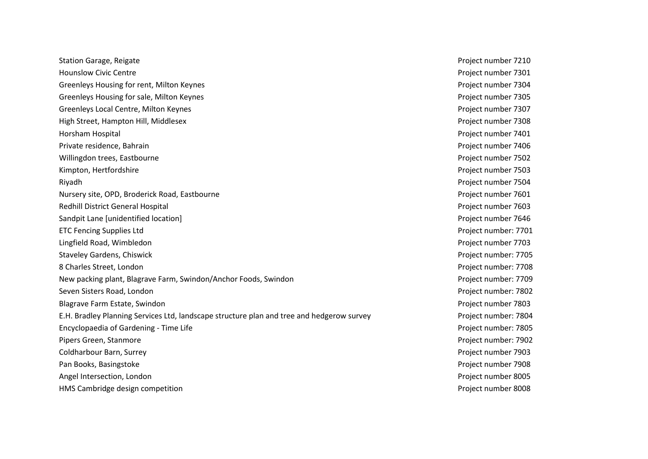Station Garage, Reigate **Project number 7210** Hounslow Civic Centre Project number 7301 Greenleys Housing for rent, Milton Keynes **Project number 7304** Project number 7304 Greenleys Housing for sale, Milton Keynes **Project number 7305** Project number 7305 Greenleys Local Centre, Milton Keynes **Project number 7307** and the United States Project number 7307 High Street, Hampton Hill, Middlesex extension of the extension of the extension of the Project number 7308 Horsham Hospital Project number 7401 Private residence, Bahrain Project number 7406 Willingdon trees, Eastbourne **Project number 7502 Willingdon trees**, Eastbourne Kimpton, Hertfordshire **Project number 7503** Project number 7503 Riyadh Project number 7504 Nursery site, OPD, Broderick Road, Eastbourne **Project number 7601** Project number 7601 Redhill District General Hospital **Project number 7603** and the set of the set of the set of the set of the set of the set of the set of the set of the set of the set of the set of the set of the set of the set of the set Sandpit Lane [unidentified location] example 2646 and project number 7646 ETC Fencing Supplies Ltd **Project number: 7701** Lingfield Road, Wimbledon Project number 7703 Staveley Gardens, Chiswick Project number: 7705 8 Charles Street, London **Project number: 7708** New packing plant, Blagrave Farm, Swindon/Anchor Foods, Swindon Project number: 7709 Seven Sisters Road, London Project number: 7802 Blagrave Farm Estate, Swindon Project number 7803 E.H. Bradley Planning Services Ltd, landscape structure plan and tree and hedgerow survey Project number: 7804 Encyclopaedia of Gardening - Time Life Project number: 7805 Pipers Green, Stanmore **Project number: 7902** Coldharbour Barn, Surrey Project number 7903 Pan Books, Basingstoke **Project number 7908** Angel Intersection, London Project number 8005 HMS Cambridge design competition Project number 8008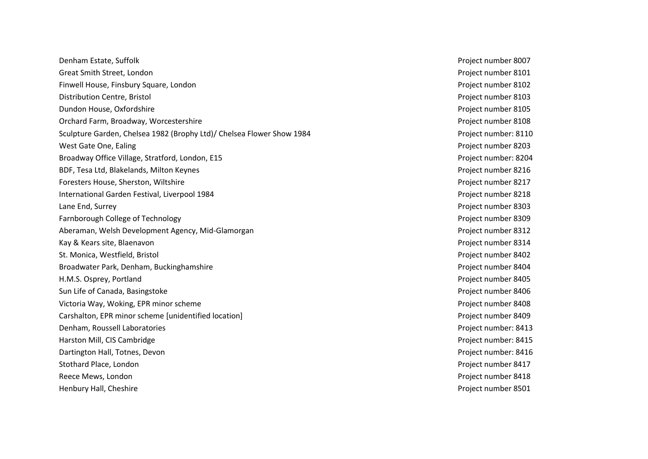Denham Estate, Suffolk Project number 8007 Great Smith Street, London Project number 8101 Finwell House, Finsbury Square, London Project number 8102 Distribution Centre, Bristol Project number 8103 Dundon House, Oxfordshire Project number 8105 Orchard Farm, Broadway, Worcestershire **Project number 8108** Project number 8108 Sculpture Garden, Chelsea 1982 (Brophy Ltd)/ Chelsea Flower Show 1984 Project number: 8110 West Gate One, Ealing Project number 8203 Broadway Office Village, Stratford, London, E15 Project number: 8204 BDF, Tesa Ltd, Blakelands, Milton Keynes **Project number 8216** Project number 8216 Foresters House, Sherston, Wiltshire **Foresters House, Sherston, Wiltshire** Project number 8217 International Garden Festival, Liverpool 1984 **Project 10 and 2018** Project number 8218 Lane End, Surrey Project number 8303 Farnborough College of Technology **Project number 8309** Project number 8309 Aberaman, Welsh Development Agency, Mid-Glamorgan **Project number 8312** Kay & Kears site, Blaenavon Project number 8314 St. Monica, Westfield, Bristol Project number 8402 Broadwater Park, Denham, Buckinghamshire **Project number 8404** Project number 8404 H.M.S. Osprey, Portland Project number 8405 Sun Life of Canada, Basingstoke Project number 8406 Victoria Way, Woking, EPR minor scheme Project number 8408 Carshalton, EPR minor scheme [unidentified location] Project number 8409 Denham, Roussell Laboratories Project number: 8413 Harston Mill, CIS Cambridge Project number: 8415 Dartington Hall, Totnes, Devon **Project number: 8416** Project number: 8416 Stothard Place, London Project number 8417 Reece Mews, London **Project number 8418** Henbury Hall, Cheshire Project number 8501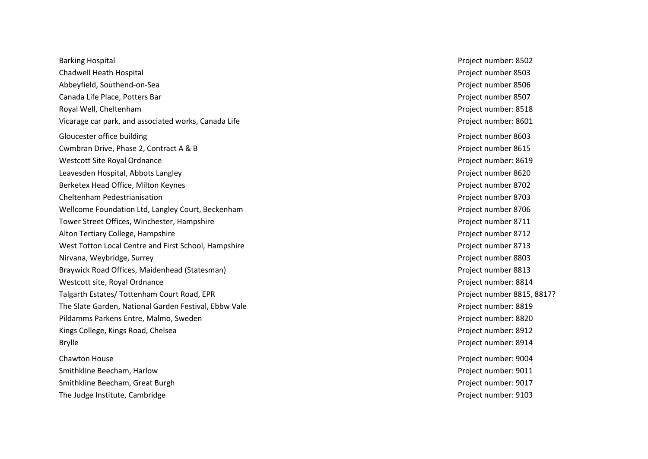Barking Hospital **Project number: 8502** Chadwell Heath Hospital Project number 8503 Abbeyfield, Southend -on Canada Life Place, Potters Bar Project number 8507 Royal Well, Cheltenham Project number: 8518 Vicarage car park, and associated works, Canada Life **Project number: 8601** Project number: 8601 Gloucester office building example of the state of the state of the state of the Project number 8603 Cwmbran Drive, Phase 2, Contract A & B **Project number 8615** Project number 8615 Westcott Site Royal Ordnance **Project number: 8619** Project number: 8619 Leavesden Hospital, Abbots Langley Project number 8620 Berketex Head Office, Milton Keynes Project number 8702 Cheltenham Pedestrianisation **Project number 8703** and the energy of the energy of the energy of the energy of the energy of the energy of the energy of the energy of the energy of the energy of the energy of the energy of Wellcome Foundation Ltd, Langley Court, Beckenham **Project number 8706** Project number 8706 Tower Street Offices, Winchester, Hampshire **Project number 8711 Project number 8711** Alton Tertiary College, Hampshire Project number 8712 West Totton Local Centre and First School, Hampshire **Project number 8713** Project number 8713 Nirvana, Weybridge, Surrey Project number 8803 Braywick Road Offices, Maidenhead (Statesman) **Project number 8813** Project number 8813 Westcott site, Royal Ordnance **Project number: 8814** Project number: 8814 Talgarth Estates / Tottenham Court Road, EPR Project number 8815, 8817? The Slate Garden, National Garden Festival, Ebbw Vale **Project number: 8819** Project number: 8819 Pildamms Parkens Entre, Malmo, Sweden Project number: 8820 Kings College, Kings Road, Chelsea Project number: 8912 Brylle Project number: 8914 Chawton House Project number: 9004 Smithkline Beecham, Harlow Project number: 9011 Smithkline Beecham, Great Burgh Project number: 9017

Project number 8506 The Judge Institute, Cambridge **Project number: 9103** Project number: 9103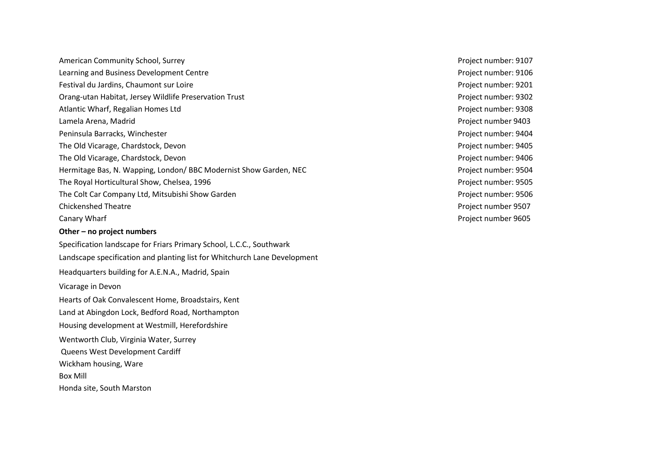American Community School, Surrey **American Community School, Surrey Project number: 9107** Learning and Business Development Centre **Project number: 9106** Project number: 9106 Festival du Jardins, Chaumont sur Loire **Project number: 9201** Project number: 9201 Orang-utan Habitat, Jersey Wildlife Preservation Trust Project number: 9302 Atlantic Wharf, Regalian Homes Ltd **Project number: 9308** Project number: 9308 Lamela Arena, Madrid Project number 9403 Peninsula Barracks, Winchester **Project number: 9404** Project number: 9404 The Old Vicarage, Chardstock, Devon Project number: 9405 The Old Vicarage, Chardstock, Devon Project number: 9406 Hermitage Bas, N. Wapping, London/ BBC Modernist Show Garden, NEC Project number: 9504 The Royal Horticultural Show, Chelsea, 1996 **Project number: 9505** Project number: 9505 The Colt Car Company Ltd, Mitsubishi Show Garden **Project number: 9506** Project number: 9506 Chickenshed Theatre Project number 9507 Canary Wharf **Project number 9605** Canary Wharf **Other – no project numbers** Specification landscape for Friars Primary School, L.C.C., Southwark Landscape specification and planting list for Whitchurch Lane Development Headquarters building for A.E.N.A., Madrid, Spain Vicarage in Devon Hearts of Oak Convalescent Home, Broadstairs, Kent Land at Abingdon Lock, Bedford Road, Northampton Housing development at Westmill, Herefordshire Wentworth Club, Virginia Water, Surrey Queens West Development Cardiff Wickham housing, Ware

Box Mill

Honda site, South Marston